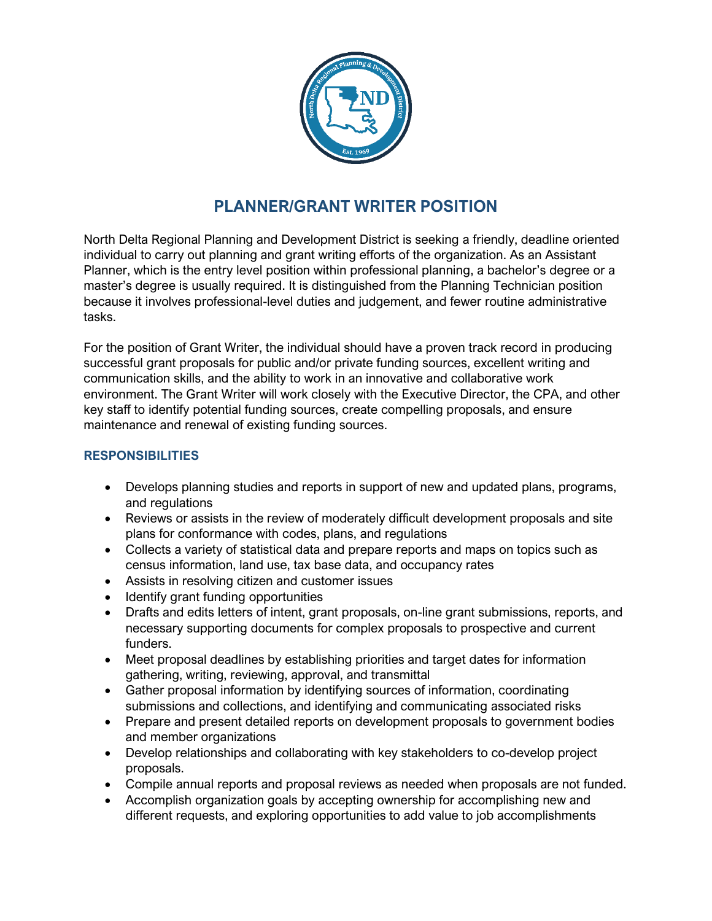

# **PLANNER/GRANT WRITER POSITION**

North Delta Regional Planning and Development District is seeking a friendly, deadline oriented individual to carry out planning and grant writing efforts of the organization. As an Assistant Planner, which is the entry level position within professional planning, a bachelor's degree or a master's degree is usually required. It is distinguished from the Planning Technician position because it involves professional-level duties and judgement, and fewer routine administrative tasks.

For the position of Grant Writer, the individual should have a proven track record in producing successful grant proposals for public and/or private funding sources, excellent writing and communication skills, and the ability to work in an innovative and collaborative work environment. The Grant Writer will work closely with the Executive Director, the CPA, and other key staff to identify potential funding sources, create compelling proposals, and ensure maintenance and renewal of existing funding sources.

## **RESPONSIBILITIES**

- Develops planning studies and reports in support of new and updated plans, programs, and regulations
- Reviews or assists in the review of moderately difficult development proposals and site plans for conformance with codes, plans, and regulations
- Collects a variety of statistical data and prepare reports and maps on topics such as census information, land use, tax base data, and occupancy rates
- Assists in resolving citizen and customer issues
- Identify grant funding opportunities
- Drafts and edits letters of intent, grant proposals, on-line grant submissions, reports, and necessary supporting documents for complex proposals to prospective and current funders.
- Meet proposal deadlines by establishing priorities and target dates for information gathering, writing, reviewing, approval, and transmittal
- Gather proposal information by identifying sources of information, coordinating submissions and collections, and identifying and communicating associated risks
- Prepare and present detailed reports on development proposals to government bodies and member organizations
- Develop relationships and collaborating with key stakeholders to co-develop project proposals.
- Compile annual reports and proposal reviews as needed when proposals are not funded.
- Accomplish organization goals by accepting ownership for accomplishing new and different requests, and exploring opportunities to add value to job accomplishments